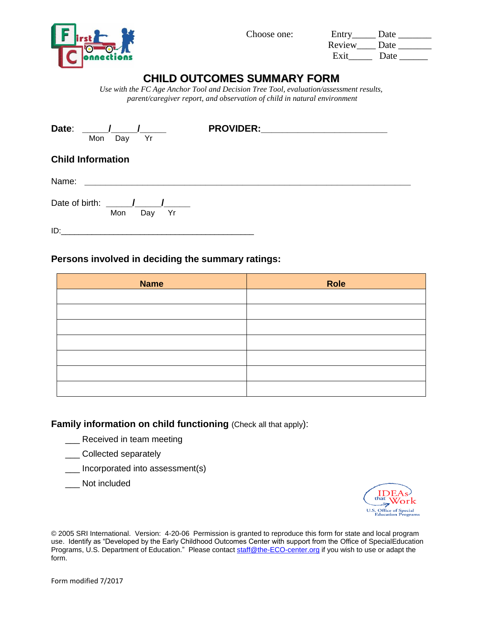

Choose one:

| Entry  | Date |
|--------|------|
| Review | Date |
| Exit   | Date |

# **CHILD OUTCOMES SUMMARY FORM**

*Use with the FC Age Anchor Tool and Decision Tree Tool, evaluation/assessment results, parent/caregiver report, and observation of child in natural environment*

| Date:<br>Yr<br>Mon<br>Day                                       | <b>PROVIDER:</b> |
|-----------------------------------------------------------------|------------------|
| <b>Child Information</b>                                        |                  |
| Name:<br><u> 1980 - Jan James Barbara, president populari (</u> |                  |
| Date of birth:<br>Mon<br>Yr<br>Day                              |                  |

ID:\_\_\_\_\_\_\_\_\_\_\_\_\_\_\_\_\_\_\_\_\_\_\_\_\_\_\_\_\_\_\_\_\_\_\_\_\_\_\_\_\_\_\_\_

### **Persons involved in deciding the summary ratings:**

| <b>Name</b> | Role |
|-------------|------|
|             |      |
|             |      |
|             |      |
|             |      |
|             |      |
|             |      |
|             |      |

## **Family information on child functioning (Check all that apply):**

- Received in team meeting
- \_\_\_ Collected separately
- \_\_\_ Incorporated into assessment(s)
- \_\_\_ Not included



© 2005 SRI International. Version: 4-20-06 Permission is granted to reproduce this form for state and local program use. Identify as "Developed by the Early Childhood Outcomes Center with support from the Office of SpecialEducation Programs, U.S. Department of Education." Please contac[t staff@the-ECO-center.org](mailto:staff@the-eco-center.org) if you wish to use or adapt the form.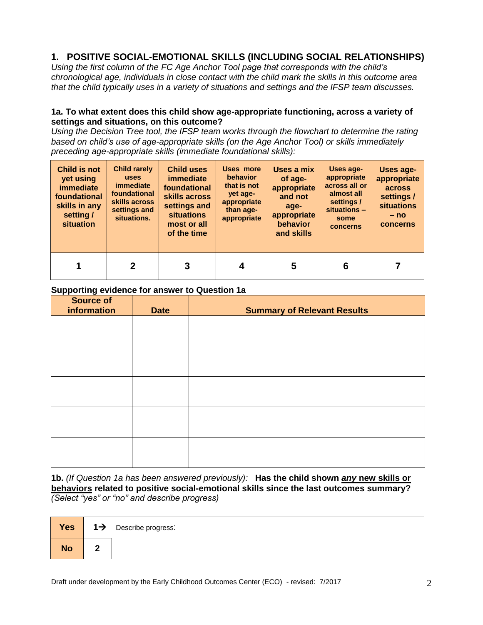# **1. POSITIVE SOCIAL-EMOTIONAL SKILLS (INCLUDING SOCIAL RELATIONSHIPS)**

*Using the first column of the FC Age Anchor Tool page that corresponds with the child's chronological age, individuals in close contact with the child mark the skills in this outcome area that the child typically uses in a variety of situations and settings and the IFSP team discusses.*

#### **1a. To what extent does this child show age-appropriate functioning, across a variety of settings and situations, on this outcome?**

*Using the Decision Tree tool, the IFSP team works through the flowchart to determine the rating based on child's use of age-appropriate skills (on the Age Anchor Tool) or skills immediately preceding age-appropriate skills (immediate foundational skills):*

| <b>Child is not</b><br>yet using<br><i>immediate</i><br>foundational<br>skills in any<br>setting /<br>situation | <b>Child rarely</b><br><b>uses</b><br><i>immediate</i><br>foundational<br>skills across<br>settings and<br>situations. | <b>Child uses</b><br><i>immediate</i><br>foundational<br>skills across<br>settings and<br><b>situations</b><br>most or all<br>of the time | Uses more<br><b>behavior</b><br>that is not<br>yet age-<br>appropriate<br>than age-<br>appropriate | Uses a mix<br>of age-<br>appropriate<br>and not<br>age-<br>appropriate<br>behavior<br>and skills | Uses age-<br>appropriate<br>across all or<br>almost all<br>settings /<br>situations -<br>some<br>concerns | Uses age-<br>appropriate<br>across<br>settings /<br><b>situations</b><br>$- no$<br>concerns |
|-----------------------------------------------------------------------------------------------------------------|------------------------------------------------------------------------------------------------------------------------|-------------------------------------------------------------------------------------------------------------------------------------------|----------------------------------------------------------------------------------------------------|--------------------------------------------------------------------------------------------------|-----------------------------------------------------------------------------------------------------------|---------------------------------------------------------------------------------------------|
|                                                                                                                 | 2                                                                                                                      | 3                                                                                                                                         |                                                                                                    | 5                                                                                                |                                                                                                           |                                                                                             |

### **Supporting evidence for answer to Question 1a**

| <b>Source of</b><br>information | <b>Date</b> | <b>Summary of Relevant Results</b> |
|---------------------------------|-------------|------------------------------------|
|                                 |             |                                    |
|                                 |             |                                    |
|                                 |             |                                    |
|                                 |             |                                    |
|                                 |             |                                    |
|                                 |             |                                    |
|                                 |             |                                    |
|                                 |             |                                    |
|                                 |             |                                    |
|                                 |             |                                    |

**1b.** *(If Question 1a has been answered previously):* **Has the child shown** *any* **new skills or behaviors related to positive social-emotional skills since the last outcomes summary?**  *(Select "yes" or "no" and describe progress)*

| <b>Yes</b> | $1\rightarrow$ | Describe progress: |
|------------|----------------|--------------------|
| <b>No</b>  |                |                    |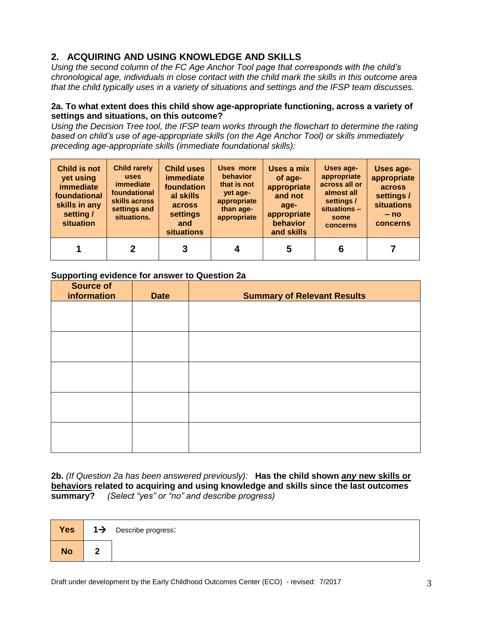# **2. ACQUIRING AND USING KNOWLEDGE AND SKILLS**

*Using the second column of the FC Age Anchor Tool page that corresponds with the child's chronological age, individuals in close contact with the child mark the skills in this outcome area that the child typically uses in a variety of situations and settings and the IFSP team discusses.*

#### **2a. To what extent does this child show age-appropriate functioning, across a variety of settings and situations, on this outcome?**

*Using the Decision Tree tool, the IFSP team works through the flowchart to determine the rating based on child's use of age-appropriate skills (on the Age Anchor Tool) or skills immediately preceding age-appropriate skills (immediate foundational skills):*

| Child is not<br>yet using<br>immediate<br>foundational<br>skills in any<br>setting /<br>situation | <b>Child rarely</b><br><b>uses</b><br><i>immediate</i><br>foundational<br>skills across<br>settings and<br>situations. | <b>Child uses</b><br><i>immediate</i><br>foundation<br>al skills<br>across<br>settings<br>and<br><b>situations</b> | Uses more<br><b>behavior</b><br>that is not<br>yet age-<br>appropriate<br>than age-<br>appropriate | Uses a mix<br>of age-<br>appropriate<br>and not<br>age-<br>appropriate<br>behavior<br>and skills | Uses age-<br>appropriate<br>across all or<br>almost all<br>settings /<br>situations -<br>some<br>concerns | Uses age-<br>appropriate<br>across<br>settings /<br><b>situations</b><br>$- no$<br>concerns |
|---------------------------------------------------------------------------------------------------|------------------------------------------------------------------------------------------------------------------------|--------------------------------------------------------------------------------------------------------------------|----------------------------------------------------------------------------------------------------|--------------------------------------------------------------------------------------------------|-----------------------------------------------------------------------------------------------------------|---------------------------------------------------------------------------------------------|
|                                                                                                   | 2                                                                                                                      |                                                                                                                    |                                                                                                    | 5                                                                                                | 6                                                                                                         |                                                                                             |

### **Supporting evidence for answer to Question 2a**

| <b>Source of</b><br>information | <b>Date</b> | <b>Summary of Relevant Results</b> |
|---------------------------------|-------------|------------------------------------|
|                                 |             |                                    |
|                                 |             |                                    |
|                                 |             |                                    |
|                                 |             |                                    |
|                                 |             |                                    |
|                                 |             |                                    |
|                                 |             |                                    |
|                                 |             |                                    |
|                                 |             |                                    |
|                                 |             |                                    |
|                                 |             |                                    |

**2b.** *(If Question 2a has been answered previously):* **Has the child shown** *any* **new skills or behaviors related to acquiring and using knowledge and skills since the last outcomes summary?** *(Select "yes" or "no" and describe progress)*

| Yes       | $1\rightarrow$ Describe progress: |
|-----------|-----------------------------------|
| <b>No</b> |                                   |